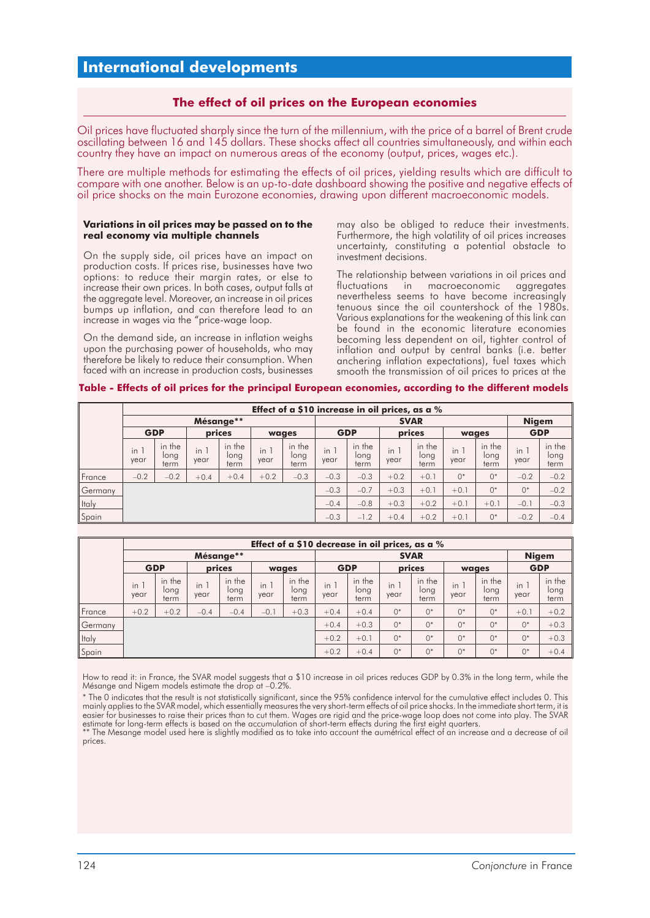# **International developments**

## **The effect of oil prices on the European economies**

Oil prices have fluctuated sharply since the turn of the millennium, with the price of a barrel of Brent crude oscillating between 16 and 145 dollars. These shocks affect all countries simultaneously, and within each country they have an impact on numerous areas of the economy (output, prices, wages etc.).

There are multiple methods for estimating the effects of oil prices, yielding results which are difficult to compare with one another. Below is an up-to-date dashboard showing the positive and negative effects of oil price shocks on the main Eurozone economies, drawing upon different macroeconomic models.

#### **Variations in oil prices may be passed on to the real economy via multiple channels**

On the supply side, oil prices have an impact on production costs. If prices rise, businesses have two options: to reduce their margin rates, or else to increase their own prices. In both cases, output falls at the aggregate level. Moreover, an increase in oil prices bumps up inflation, and can therefore lead to an increase in wages via the "price-wage loop.

On the demand side, an increase in inflation weighs upon the purchasing power of households, who may therefore be likely to reduce their consumption. When faced with an increase in production costs, businesses may also be obliged to reduce their investments. Furthermore, the high volatility of oil prices increases uncertainty, constituting a potential obstacle to investment decisions.

The relationship between variations in oil prices and fluctuations in macroeconomic aggregates nevertheless seems to have become increasingly tenuous since the oil countershock of the 1980s. Various explanations for the weakening of this link can be found in the economic literature economies becoming less dependent on oil, tighter control of inflation and output by central banks (i.e. better anchering inflation expectations), fuel taxes which smooth the transmission of oil prices to prices at the

#### **Table - Effects of oil prices for the principal European economies, according to the different models**

|         | Effect of a \$10 increase in oil prices, as a % |                        |             |                        |               |                        |             |                        |             |                        |               |                        |                               |                        |  |
|---------|-------------------------------------------------|------------------------|-------------|------------------------|---------------|------------------------|-------------|------------------------|-------------|------------------------|---------------|------------------------|-------------------------------|------------------------|--|
|         | Mésange**                                       |                        |             |                        |               |                        | <b>SVAR</b> |                        |             |                        |               |                        |                               | <b>Nigem</b>           |  |
|         | <b>GDP</b>                                      |                        | prices      |                        | waaes         |                        | <b>GDP</b>  |                        | prices      |                        | wages         |                        | <b>GDP</b>                    |                        |  |
|         | in.<br>year                                     | in the<br>long<br>term | in.<br>year | in the<br>long<br>term | $\ln$<br>year | in the<br>long<br>term | in<br>year  | in the<br>long<br>term | in.<br>year | in the<br>long<br>term | $\ln$<br>year | in the<br>long<br>term | $\blacksquare$<br>in.<br>year | in the<br>long<br>term |  |
| France  | $-0.2$                                          | $-0.2$                 | $+0.4$      | $+0.4$                 | $+0.2$        | $-0.3$                 | $-0.3$      | $-0.3$                 | $+0.2$      | $+0.1$                 | $0^*$         | $0^*$                  | $-0.2$                        | $-0.2$                 |  |
| Germany |                                                 |                        |             |                        |               |                        | $-0.3$      | $-0.7$                 | $+0.3$      | $+0.1$                 | $+0.1$        | $0^*$                  | $0*$                          | $-0.2$                 |  |
| Italy   |                                                 |                        |             |                        |               |                        | $-0.4$      | $-0.8$                 | $+0.3$      | $+0.2$                 | $+0.1$        | $+0.1$                 | $-0.1$                        | $-0.3$                 |  |
| Spain   |                                                 |                        |             |                        |               |                        | $-0.3$      | $-1.2$                 | $+0.4$      | $+0.2$                 | $+0.1$        | $0^*$                  | $-0.2$                        | $-0.4$                 |  |

|         | Effect of a \$10 decrease in oil prices, as a % |                        |             |                        |            |                        |             |                        |             |                        |              |                        |             |                        |  |
|---------|-------------------------------------------------|------------------------|-------------|------------------------|------------|------------------------|-------------|------------------------|-------------|------------------------|--------------|------------------------|-------------|------------------------|--|
|         | Mésange**                                       |                        |             |                        |            |                        | <b>SVAR</b> |                        |             |                        |              |                        |             | <b>Nigem</b>           |  |
|         | <b>GDP</b>                                      |                        | prices      |                        | wages      |                        | <b>GDP</b>  |                        | prices      |                        | wages        |                        | <b>GDP</b>  |                        |  |
|         | $in^{\dagger}$<br>year                          | in the<br>long<br>term | in.<br>year | in the<br>long<br>term | in<br>year | in the<br>long<br>term | in<br>year  | in the<br>long<br>term | in.<br>year | in the<br>long<br>term | in i<br>year | in the<br>long<br>term | in.<br>year | in the<br>long<br>term |  |
| France  | $+0.2$                                          | $+0.2$                 | $-0.4$      | $-0.4$                 | $-0.$      | $+0.3$                 | $+0.4$      | $+0.4$                 | $0^*$       | $0^*$                  | $0^*$        | $()^*$                 | $+0.1$      | $+0.2$                 |  |
| Germany |                                                 |                        |             |                        |            |                        | $+0.4$      | $+0.3$                 | $0^*$       | $0^*$                  | $0^*$        | $0*$                   | $0^*$       | $+0.3$                 |  |
| Italy   |                                                 |                        |             |                        |            |                        | $+0.2$      | $+0.1$                 | $0^*$       | $0^*$                  | $0*$         | $0*$                   | $0^*$       | $+0.3$                 |  |
| Spain   |                                                 |                        |             |                        |            |                        | $+0.2$      | $+0.4$                 | $0^*$       | $0^*$                  | $0*$         | $()^*$                 | $0^*$       | $+0.4$                 |  |

How to read it: in France, the SVAR model suggests that a \$10 increase in oil prices reduces GDP by 0.3% in the long term, while the Mésange and Nigem models estimate the drop at –0.2%.

<sup>\*</sup> The 0 indicates that the result is not statistically significant, since the 95% confidence interval for the cumulative effect includes 0. This mainly applies to the SVAR model, which essentially measures the very short-term effects of oil price shocks. In the immediate short term, it is easier for businesses to raise their prices than to cut them. Wages are rigid and the price-wage loop does not come into play. The SVAR estimate for long-term effects is based on the accumulation of short-term effects during the first eight quarters. \*\* The Mesange model used here is slightly modified as to take into account the aumétrical effect of an increase and a decrease of oil

prices.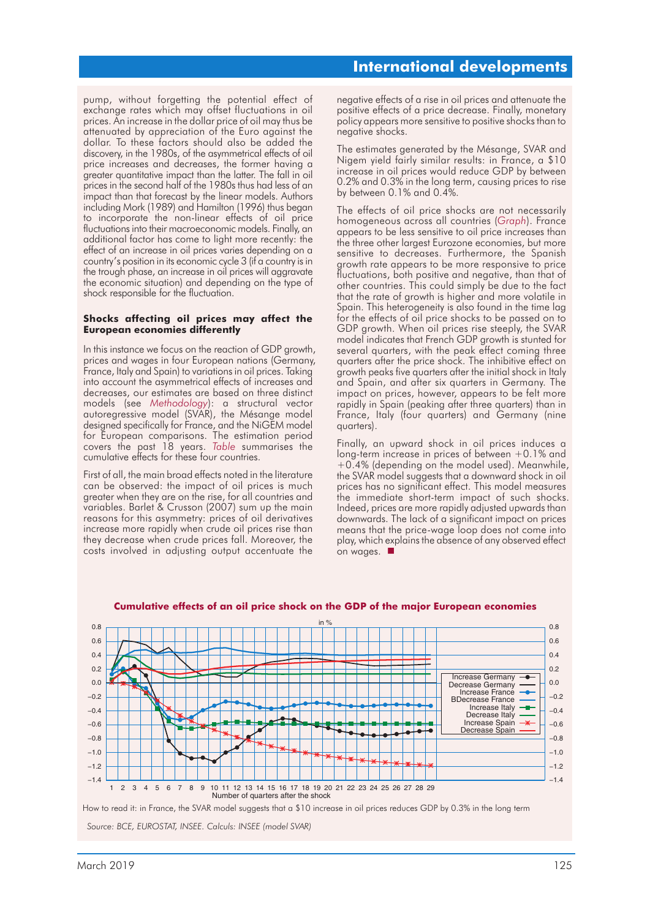pump, without forgetting the potential effect of exchange rates which may offset fluctuations in oil prices. An increase in the dollar price of oil may thus be attenuated by appreciation of the Euro against the dollar. To these factors should also be added the discovery, in the 1980s, of the asymmetrical effects of oil price increases and decreases, the former having a greater quantitative impact than the latter. The fall in oil prices in the second half of the 1980s thus had less of an impact than that forecast by the linear models. Authors including Mork (1989) and Hamilton (1996) thus began to incorporate the non-linear effects of oil price fluctuations into their macroeconomic models. Finally, an additional factor has come to light more recently: the effect of an increase in oil prices varies depending on a country's position in its economic cycle 3 (if a country is in the trough phase, an increase in oil prices will aggravate the economic situation) and depending on the type of shock responsible for the fluctuation.

#### **Shocks affecting oil prices may affect the European economies differently**

In this instance we focus on the reaction of GDP growth, prices and wages in four European nations (Germany, France, Italy and Spain) to variations in oil prices. Taking into account the asymmetrical effects of increases and decreases, our estimates are based on three distinct models (see *Methodology*): a structural vector autoregressive model (SVAR), the Mésange model designed specifically for France, and the NiGEM model for European comparisons. The estimation period covers the past 18 years. *Table* summarises the cumulative effects for these four countries.

First of all, the main broad effects noted in the literature can be observed: the impact of oil prices is much greater when they are on the rise, for all countries and variables. Barlet & Crusson (2007) sum up the main reasons for this asymmetry: prices of oil derivatives increase more rapidly when crude oil prices rise than they decrease when crude prices fall. Moreover, the costs involved in adjusting output accentuate the negative effects of a rise in oil prices and attenuate the positive effects of a price decrease. Finally, monetary policy appears more sensitive to positive shocks than to negative shocks.

The estimates generated by the Mésange, SVAR and Nigem yield fairly similar results: in France, a \$10 increase in oil prices would reduce GDP by between 0.2% and 0.3% in the long term, causing prices to rise by between 0.1% and 0.4%.

The effects of oil price shocks are not necessarily homogeneous across all countries (*Graph*). France appears to be less sensitive to oil price increases than the three other largest Eurozone economies, but more sensitive to decreases. Furthermore, the Spanish growth rate appears to be more responsive to price fluctuations, both positive and negative, than that of other countries. This could simply be due to the fact that the rate of growth is higher and more volatile in Spain. This heterogeneity is also found in the time lag for the effects of oil price shocks to be passed on to GDP growth. When oil prices rise steeply, the SVAR model indicates that French GDP growth is stunted for several quarters, with the peak effect coming three quarters after the price shock. The inhibitive effect on growth peaks five quarters after the initial shock in Italy and Spain, and after six quarters in Germany. The impact on prices, however, appears to be felt more rapidly in Spain (peaking after three quarters) than in France, Italy (four quarters) and Germany (nine quarters).

Finally, an upward shock in oil prices induces a long-term increase in prices of between +0.1% and +0.4% (depending on the model used). Meanwhile, the SVAR model suggests that a downward shock in oil prices has no significant effect. This model measures the immediate short-term impact of such shocks. Indeed, prices are more rapidly adjusted upwards than downwards. The lack of a significant impact on prices means that the price-wage loop does not come into play, which explains the absence of any observed effect pia<sub>1</sub>, milen ok<br>on wages.



#### **Cumulative effects of an oil price shock on the GDP of the major European economies**

*Source: BCE, EUROSTAT, INSEE. Calculs: INSEE (model SVAR)*